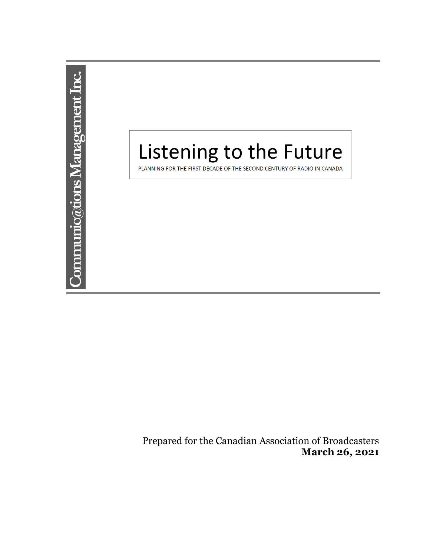

Prepared for the Canadian Association of Broadcasters **March 26, 2021**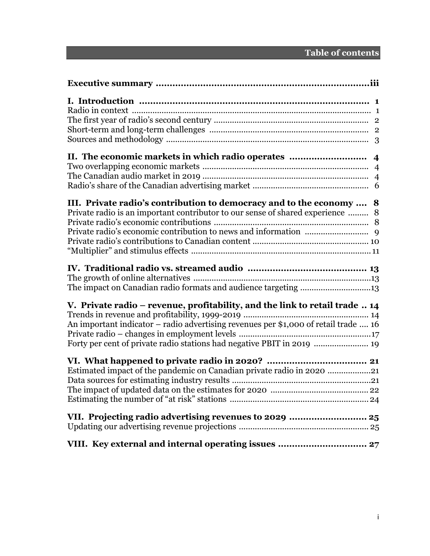| III. Private radio's contribution to democracy and to the economy  8<br>Private radio is an important contributor to our sense of shared experience  8                                                                                       |
|----------------------------------------------------------------------------------------------------------------------------------------------------------------------------------------------------------------------------------------------|
| The impact on Canadian radio formats and audience targeting 13                                                                                                                                                                               |
| V. Private radio – revenue, profitability, and the link to retail trade  14<br>An important indicator - radio advertising revenues per \$1,000 of retail trade  16<br>Forty per cent of private radio stations had negative PBIT in 2019  19 |
| Estimated impact of the pandemic on Canadian private radio in 2020 21                                                                                                                                                                        |
|                                                                                                                                                                                                                                              |
|                                                                                                                                                                                                                                              |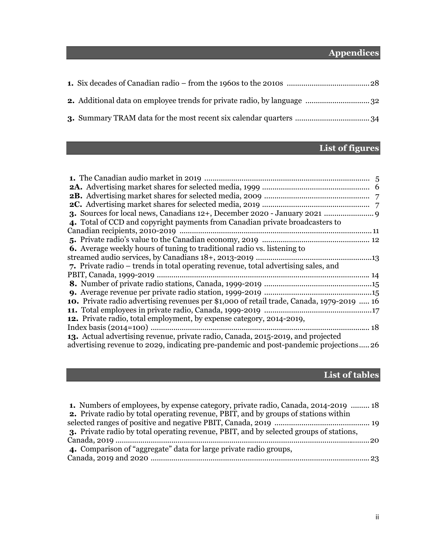# **Appendices**

# **List of figures**

| 4. Total of CCD and copyright payments from Canadian private broadcasters to              |
|-------------------------------------------------------------------------------------------|
|                                                                                           |
|                                                                                           |
| <b>6.</b> Average weekly hours of tuning to traditional radio vs. listening to            |
|                                                                                           |
| 7. Private radio – trends in total operating revenue, total advertising sales, and        |
|                                                                                           |
|                                                                                           |
|                                                                                           |
| 10. Private radio advertising revenues per \$1,000 of retail trade, Canada, 1979-2019  16 |
|                                                                                           |
| <b>12.</b> Private radio, total employment, by expense category, 2014-2019,               |
|                                                                                           |
| 13. Actual advertising revenue, private radio, Canada, 2015-2019, and projected           |
| advertising revenue to 2029, indicating pre-pandemic and post-pandemic projections26      |

# **List of tables**

| 1. Numbers of employees, by expense category, private radio, Canada, 2014-2019  18         |  |
|--------------------------------------------------------------------------------------------|--|
| <b>2.</b> Private radio by total operating revenue, PBIT, and by groups of stations within |  |
|                                                                                            |  |
| 3. Private radio by total operating revenue, PBIT, and by selected groups of stations,     |  |
|                                                                                            |  |
| 4. Comparison of "aggregate" data for large private radio groups,                          |  |
|                                                                                            |  |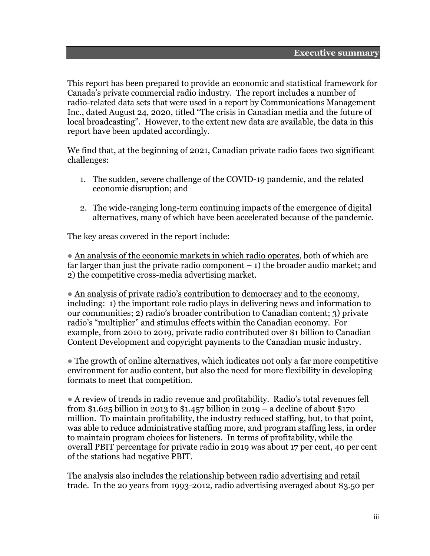This report has been prepared to provide an economic and statistical framework for Canada's private commercial radio industry. The report includes a number of radio-related data sets that were used in a report by Communications Management Inc., dated August 24, 2020, titled "The crisis in Canadian media and the future of local broadcasting". However, to the extent new data are available, the data in this report have been updated accordingly.

We find that, at the beginning of 2021, Canadian private radio faces two significant challenges:

- 1. The sudden, severe challenge of the COVID-19 pandemic, and the related economic disruption; and
- 2. The wide-ranging long-term continuing impacts of the emergence of digital alternatives, many of which have been accelerated because of the pandemic.

The key areas covered in the report include:

● An analysis of the economic markets in which radio operates, both of which are far larger than just the private radio component  $-1$ ) the broader audio market; and 2) the competitive cross-media advertising market.

• An analysis of private radio's contribution to democracy and to the economy, including: 1) the important role radio plays in delivering news and information to our communities; 2) radio's broader contribution to Canadian content; 3) private radio's "multiplier" and stimulus effects within the Canadian economy. For example, from 2010 to 2019, private radio contributed over \$1 billion to Canadian Content Development and copyright payments to the Canadian music industry.

● The growth of online alternatives, which indicates not only a far more competitive environment for audio content, but also the need for more flexibility in developing formats to meet that competition.

● A review of trends in radio revenue and profitability. Radio's total revenues fell from \$1.625 billion in 2013 to \$1.457 billion in 2019 – a decline of about \$170 million. To maintain profitability, the industry reduced staffing, but, to that point, was able to reduce administrative staffing more, and program staffing less, in order to maintain program choices for listeners. In terms of profitability, while the overall PBIT percentage for private radio in 2019 was about 17 per cent, 40 per cent of the stations had negative PBIT.

The analysis also includes the relationship between radio advertising and retail trade. In the 20 years from 1993-2012, radio advertising averaged about \$3.50 per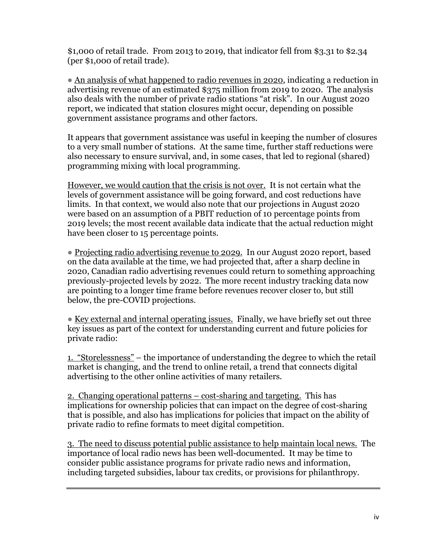\$1,000 of retail trade. From 2013 to 2019, that indicator fell from \$3.31 to \$2.34 (per \$1,000 of retail trade).

● An analysis of what happened to radio revenues in 2020, indicating a reduction in advertising revenue of an estimated \$375 million from 2019 to 2020. The analysis also deals with the number of private radio stations "at risk". In our August 2020 report, we indicated that station closures might occur, depending on possible government assistance programs and other factors.

It appears that government assistance was useful in keeping the number of closures to a very small number of stations. At the same time, further staff reductions were also necessary to ensure survival, and, in some cases, that led to regional (shared) programming mixing with local programming.

However, we would caution that the crisis is not over. It is not certain what the levels of government assistance will be going forward, and cost reductions have limits. In that context, we would also note that our projections in August 2020 were based on an assumption of a PBIT reduction of 10 percentage points from 2019 levels; the most recent available data indicate that the actual reduction might have been closer to 15 percentage points.

● Projecting radio advertising revenue to 2029. In our August 2020 report, based on the data available at the time, we had projected that, after a sharp decline in 2020, Canadian radio advertising revenues could return to something approaching previously-projected levels by 2022. The more recent industry tracking data now are pointing to a longer time frame before revenues recover closer to, but still below, the pre-COVID projections.

• Key external and internal operating issues. Finally, we have briefly set out three key issues as part of the context for understanding current and future policies for private radio:

1. "Storelessness" – the importance of understanding the degree to which the retail market is changing, and the trend to online retail, a trend that connects digital advertising to the other online activities of many retailers.

2. Changing operational patterns – cost-sharing and targeting. This has implications for ownership policies that can impact on the degree of cost-sharing that is possible, and also has implications for policies that impact on the ability of private radio to refine formats to meet digital competition.

3. The need to discuss potential public assistance to help maintain local news. The importance of local radio news has been well-documented. It may be time to consider public assistance programs for private radio news and information, including targeted subsidies, labour tax credits, or provisions for philanthropy.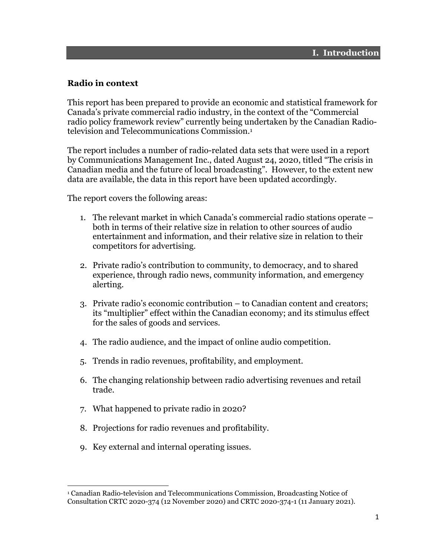### **Radio in context**

This report has been prepared to provide an economic and statistical framework for Canada's private commercial radio industry, in the context of the "Commercial radio policy framework review" currently being undertaken by the Canadian Radiotelevision and Telecommunications Commission.1

The report includes a number of radio-related data sets that were used in a report by Communications Management Inc., dated August 24, 2020, titled "The crisis in Canadian media and the future of local broadcasting". However, to the extent new data are available, the data in this report have been updated accordingly.

The report covers the following areas:

- 1. The relevant market in which Canada's commercial radio stations operate both in terms of their relative size in relation to other sources of audio entertainment and information, and their relative size in relation to their competitors for advertising.
- 2. Private radio's contribution to community, to democracy, and to shared experience, through radio news, community information, and emergency alerting.
- 3. Private radio's economic contribution to Canadian content and creators; its "multiplier" effect within the Canadian economy; and its stimulus effect for the sales of goods and services.
- 4. The radio audience, and the impact of online audio competition.
- 5. Trends in radio revenues, profitability, and employment.
- 6. The changing relationship between radio advertising revenues and retail trade.
- 7. What happened to private radio in 2020?
- 8. Projections for radio revenues and profitability.
- 9. Key external and internal operating issues.

<sup>1</sup> Canadian Radio-television and Telecommunications Commission, Broadcasting Notice of Consultation CRTC 2020-374 (12 November 2020) and CRTC 2020-374-1 (11 January 2021).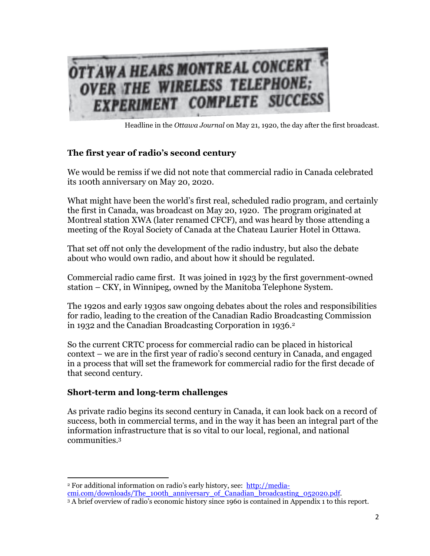

Headline in the *Ottawa Journal* on May 21, 1920, the day after the first broadcast.

### **The first year of radio's second century**

We would be remiss if we did not note that commercial radio in Canada celebrated its 100th anniversary on May 20, 2020.

What might have been the world's first real, scheduled radio program, and certainly the first in Canada, was broadcast on May 20, 1920. The program originated at Montreal station XWA (later renamed CFCF), and was heard by those attending a meeting of the Royal Society of Canada at the Chateau Laurier Hotel in Ottawa.

That set off not only the development of the radio industry, but also the debate about who would own radio, and about how it should be regulated.

Commercial radio came first. It was joined in 1923 by the first government-owned station – CKY, in Winnipeg, owned by the Manitoba Telephone System.

The 1920s and early 1930s saw ongoing debates about the roles and responsibilities for radio, leading to the creation of the Canadian Radio Broadcasting Commission in 1932 and the Canadian Broadcasting Corporation in 1936.<sup>2</sup>

So the current CRTC process for commercial radio can be placed in historical context – we are in the first year of radio's second century in Canada, and engaged in a process that will set the framework for commercial radio for the first decade of that second century.

### **Short-term and long-term challenges**

As private radio begins its second century in Canada, it can look back on a record of success, both in commercial terms, and in the way it has been an integral part of the information infrastructure that is so vital to our local, regional, and national communities.3

<sup>&</sup>lt;sup>2</sup> For additional information on radio's early history, see: http://mediacmi.com/downloads/The\_100th\_anniversary\_of\_Canadian\_broadcasting\_052020.pdf. 3 A brief overview of radio's economic history since 1960 is contained in Appendix 1 to this report.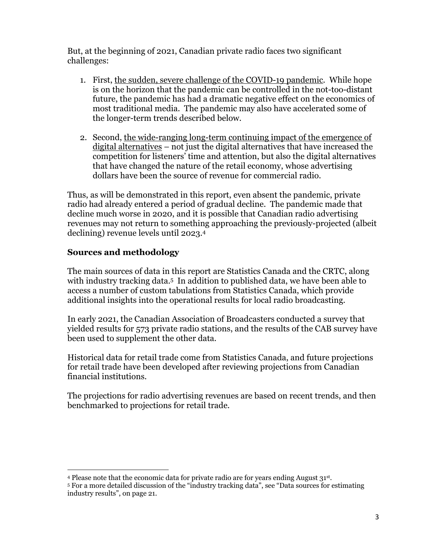But, at the beginning of 2021, Canadian private radio faces two significant challenges:

- 1. First, the sudden, severe challenge of the COVID-19 pandemic. While hope is on the horizon that the pandemic can be controlled in the not-too-distant future, the pandemic has had a dramatic negative effect on the economics of most traditional media. The pandemic may also have accelerated some of the longer-term trends described below.
- 2. Second, the wide-ranging long-term continuing impact of the emergence of digital alternatives – not just the digital alternatives that have increased the competition for listeners' time and attention, but also the digital alternatives that have changed the nature of the retail economy, whose advertising dollars have been the source of revenue for commercial radio.

Thus, as will be demonstrated in this report, even absent the pandemic, private radio had already entered a period of gradual decline. The pandemic made that decline much worse in 2020, and it is possible that Canadian radio advertising revenues may not return to something approaching the previously-projected (albeit declining) revenue levels until 2023.4

### **Sources and methodology**

The main sources of data in this report are Statistics Canada and the CRTC, along with industry tracking data.<sup>5</sup> In addition to published data, we have been able to access a number of custom tabulations from Statistics Canada, which provide additional insights into the operational results for local radio broadcasting.

In early 2021, the Canadian Association of Broadcasters conducted a survey that yielded results for 573 private radio stations, and the results of the CAB survey have been used to supplement the other data.

Historical data for retail trade come from Statistics Canada, and future projections for retail trade have been developed after reviewing projections from Canadian financial institutions.

The projections for radio advertising revenues are based on recent trends, and then benchmarked to projections for retail trade.

<sup>4</sup> Please note that the economic data for private radio are for years ending August  $31^{st}$ .<br>5 For a more detailed discussion of the "industry tracking data", see "Data sources for estimating industry results", on page 21.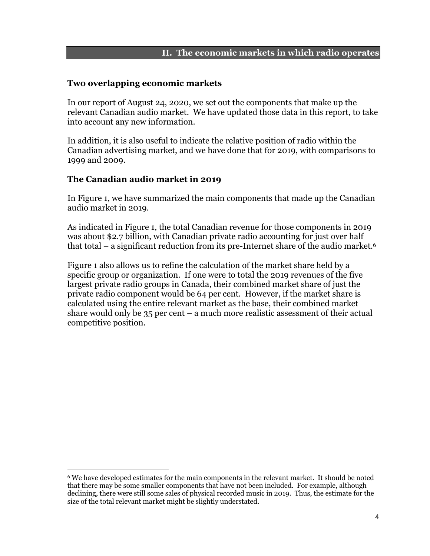#### **II. The economic markets in which radio operates**

#### **Two overlapping economic markets**

In our report of August 24, 2020, we set out the components that make up the relevant Canadian audio market. We have updated those data in this report, to take into account any new information.

In addition, it is also useful to indicate the relative position of radio within the Canadian advertising market, and we have done that for 2019, with comparisons to 1999 and 2009.

### **The Canadian audio market in 2019**

In Figure 1, we have summarized the main components that made up the Canadian audio market in 2019.

As indicated in Figure 1, the total Canadian revenue for those components in 2019 was about \$2.7 billion, with Canadian private radio accounting for just over half that total – a significant reduction from its pre-Internet share of the audio market.6

Figure 1 also allows us to refine the calculation of the market share held by a specific group or organization. If one were to total the 2019 revenues of the five largest private radio groups in Canada, their combined market share of just the private radio component would be 64 per cent. However, if the market share is calculated using the entire relevant market as the base, their combined market share would only be 35 per cent – a much more realistic assessment of their actual competitive position.

<sup>6</sup> We have developed estimates for the main components in the relevant market. It should be noted that there may be some smaller components that have not been included. For example, although declining, there were still some sales of physical recorded music in 2019. Thus, the estimate for the size of the total relevant market might be slightly understated.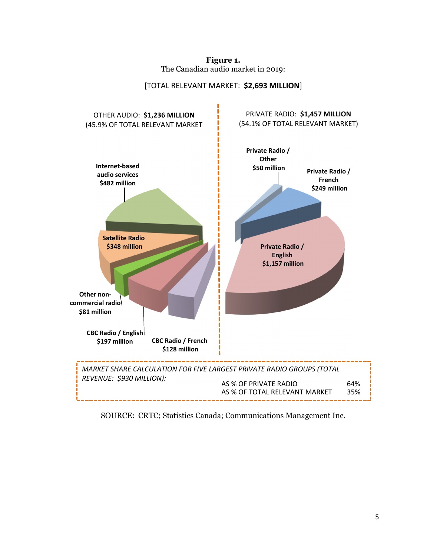**Figure 1.**  The Canadian audio market in 2019:



#### [TOTAL RELEVANT MARKET: **\$2,693 MILLION**]

SOURCE: CRTC; Statistics Canada; Communications Management Inc.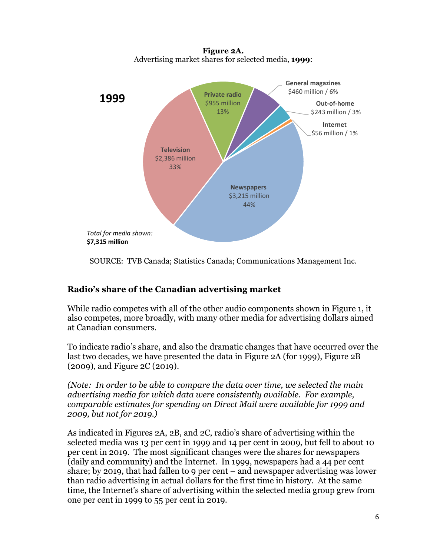

**Figure 2A.**  Advertising market shares for selected media, **1999**:

SOURCE: TVB Canada; Statistics Canada; Communications Management Inc.

### **Radio's share of the Canadian advertising market**

While radio competes with all of the other audio components shown in Figure 1, it also competes, more broadly, with many other media for advertising dollars aimed at Canadian consumers.

To indicate radio's share, and also the dramatic changes that have occurred over the last two decades, we have presented the data in Figure 2A (for 1999), Figure 2B (2009), and Figure 2C (2019).

*(Note: In order to be able to compare the data over time, we selected the main advertising media for which data were consistently available. For example, comparable estimates for spending on Direct Mail were available for 1999 and 2009, but not for 2019.)* 

As indicated in Figures 2A, 2B, and 2C, radio's share of advertising within the selected media was 13 per cent in 1999 and 14 per cent in 2009, but fell to about 10 per cent in 2019. The most significant changes were the shares for newspapers (daily and community) and the Internet. In 1999, newspapers had a 44 per cent share; by 2019, that had fallen to 9 per cent – and newspaper advertising was lower than radio advertising in actual dollars for the first time in history. At the same time, the Internet's share of advertising within the selected media group grew from one per cent in 1999 to 55 per cent in 2019.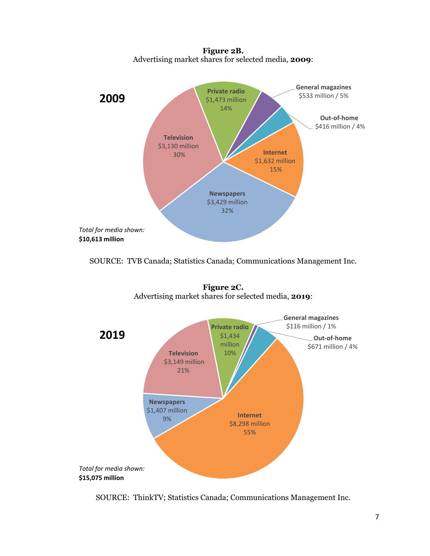**Figure 2B.**  Advertising market shares for selected media, **2009**:



SOURCE: TVB Canada; Statistics Canada; Communications Management Inc.



**Figure 2C.**  Advertising market shares for selected media, **2019**:

SOURCE: ThinkTV; Statistics Canada; Communications Management Inc.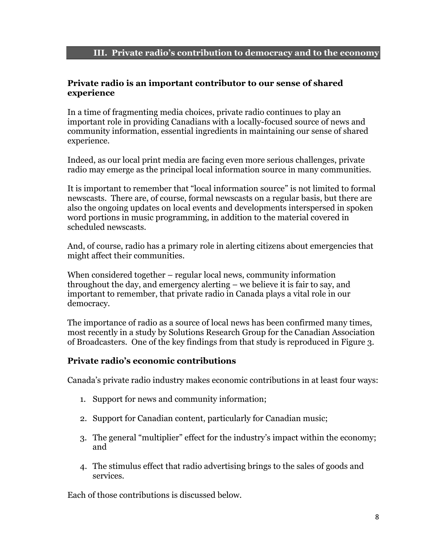### **Private radio is an important contributor to our sense of shared experience**

In a time of fragmenting media choices, private radio continues to play an important role in providing Canadians with a locally-focused source of news and community information, essential ingredients in maintaining our sense of shared experience.

Indeed, as our local print media are facing even more serious challenges, private radio may emerge as the principal local information source in many communities.

It is important to remember that "local information source" is not limited to formal newscasts. There are, of course, formal newscasts on a regular basis, but there are also the ongoing updates on local events and developments interspersed in spoken word portions in music programming, in addition to the material covered in scheduled newscasts.

And, of course, radio has a primary role in alerting citizens about emergencies that might affect their communities.

When considered together – regular local news, community information throughout the day, and emergency alerting – we believe it is fair to say, and important to remember, that private radio in Canada plays a vital role in our democracy.

The importance of radio as a source of local news has been confirmed many times, most recently in a study by Solutions Research Group for the Canadian Association of Broadcasters. One of the key findings from that study is reproduced in Figure 3.

### **Private radio's economic contributions**

Canada's private radio industry makes economic contributions in at least four ways:

- 1. Support for news and community information;
- 2. Support for Canadian content, particularly for Canadian music;
- 3. The general "multiplier" effect for the industry's impact within the economy; and
- 4. The stimulus effect that radio advertising brings to the sales of goods and services.

Each of those contributions is discussed below.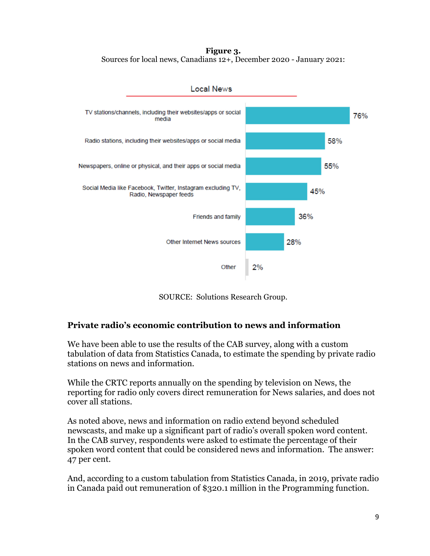**Figure 3.**  Sources for local news, Canadians 12+, December 2020 - January 2021:



**Local News** 

SOURCE: Solutions Research Group.

### **Private radio's economic contribution to news and information**

We have been able to use the results of the CAB survey, along with a custom tabulation of data from Statistics Canada, to estimate the spending by private radio stations on news and information.

While the CRTC reports annually on the spending by television on News, the reporting for radio only covers direct remuneration for News salaries, and does not cover all stations.

As noted above, news and information on radio extend beyond scheduled newscasts, and make up a significant part of radio's overall spoken word content. In the CAB survey, respondents were asked to estimate the percentage of their spoken word content that could be considered news and information. The answer: 47 per cent.

And, according to a custom tabulation from Statistics Canada, in 2019, private radio in Canada paid out remuneration of \$320.1 million in the Programming function.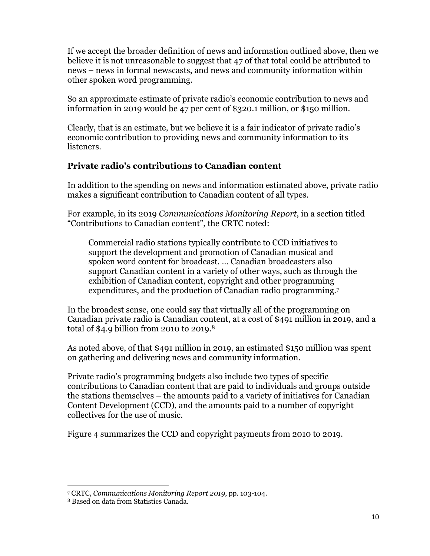If we accept the broader definition of news and information outlined above, then we believe it is not unreasonable to suggest that 47 of that total could be attributed to news – news in formal newscasts, and news and community information within other spoken word programming.

So an approximate estimate of private radio's economic contribution to news and information in 2019 would be 47 per cent of \$320.1 million, or \$150 million.

Clearly, that is an estimate, but we believe it is a fair indicator of private radio's economic contribution to providing news and community information to its listeners.

### **Private radio's contributions to Canadian content**

In addition to the spending on news and information estimated above, private radio makes a significant contribution to Canadian content of all types.

For example, in its 2019 *Communications Monitoring Report*, in a section titled "Contributions to Canadian content", the CRTC noted:

Commercial radio stations typically contribute to CCD initiatives to support the development and promotion of Canadian musical and spoken word content for broadcast. … Canadian broadcasters also support Canadian content in a variety of other ways, such as through the exhibition of Canadian content, copyright and other programming expenditures, and the production of Canadian radio programming.7

In the broadest sense, one could say that virtually all of the programming on Canadian private radio is Canadian content, at a cost of \$491 million in 2019, and a total of \$4.9 billion from 2010 to 2019.8

As noted above, of that \$491 million in 2019, an estimated \$150 million was spent on gathering and delivering news and community information.

Private radio's programming budgets also include two types of specific contributions to Canadian content that are paid to individuals and groups outside the stations themselves – the amounts paid to a variety of initiatives for Canadian Content Development (CCD), and the amounts paid to a number of copyright collectives for the use of music.

Figure 4 summarizes the CCD and copyright payments from 2010 to 2019.

<sup>7</sup> CRTC, *Communications Monitoring Report 2019*, pp. 103-104.

<sup>8</sup> Based on data from Statistics Canada.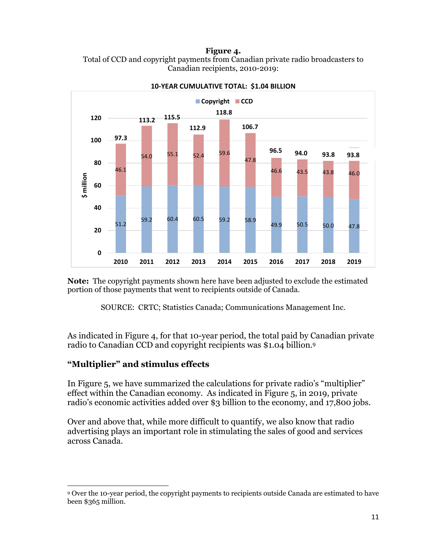**Figure 4.** 





**10‐YEAR CUMULATIVE TOTAL: \$1.04 BILLION**

**Note:** The copyright payments shown here have been adjusted to exclude the estimated portion of those payments that went to recipients outside of Canada.

SOURCE: CRTC; Statistics Canada; Communications Management Inc.

As indicated in Figure 4, for that 10-year period, the total paid by Canadian private radio to Canadian CCD and copyright recipients was \$1.04 billion.9

### **"Multiplier" and stimulus effects**

In Figure 5, we have summarized the calculations for private radio's "multiplier" effect within the Canadian economy. As indicated in Figure 5, in 2019, private radio's economic activities added over \$3 billion to the economy, and 17,800 jobs.

Over and above that, while more difficult to quantify, we also know that radio advertising plays an important role in stimulating the sales of good and services across Canada.

<sup>9</sup> Over the 10-year period, the copyright payments to recipients outside Canada are estimated to have been \$365 million.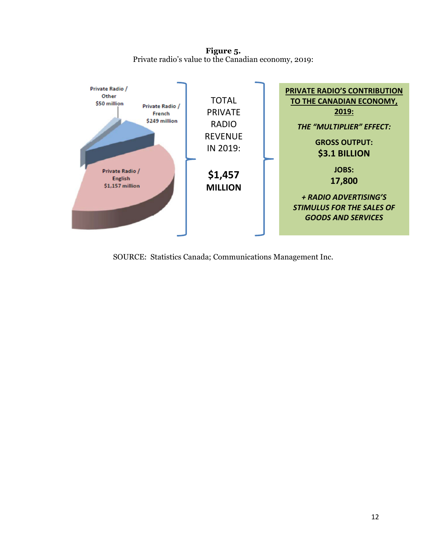**Figure 5.**  Private radio's value to the Canadian economy, 2019:



SOURCE: Statistics Canada; Communications Management Inc.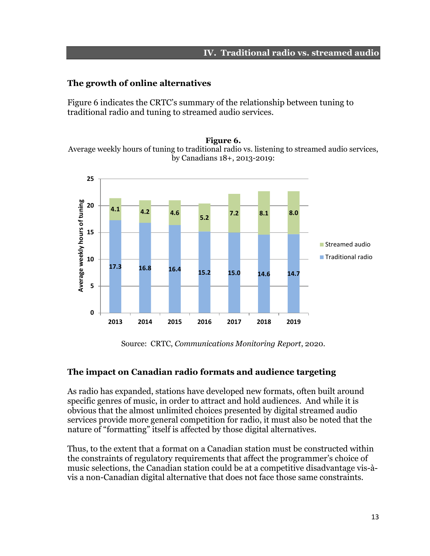#### **IV. Traditional radio vs. streamed audio**

### **The growth of online alternatives**

Figure 6 indicates the CRTC's summary of the relationship between tuning to traditional radio and tuning to streamed audio services.

**Figure 6.**  Average weekly hours of tuning to traditional radio vs. listening to streamed audio services, by Canadians 18+, 2013-2019:



Source: CRTC, *Communications Monitoring Report*, 2020.

### **The impact on Canadian radio formats and audience targeting**

As radio has expanded, stations have developed new formats, often built around specific genres of music, in order to attract and hold audiences. And while it is obvious that the almost unlimited choices presented by digital streamed audio services provide more general competition for radio, it must also be noted that the nature of "formatting" itself is affected by those digital alternatives.

Thus, to the extent that a format on a Canadian station must be constructed within the constraints of regulatory requirements that affect the programmer's choice of music selections, the Canadian station could be at a competitive disadvantage vis-àvis a non-Canadian digital alternative that does not face those same constraints.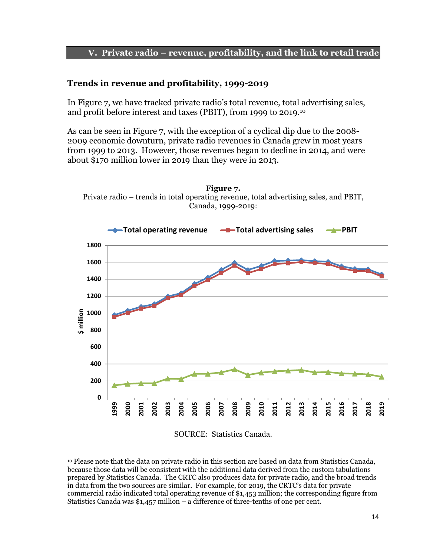#### **V. Private radio – revenue, profitability, and the link to retail trade**

#### **Trends in revenue and profitability, 1999-2019**

In Figure 7, we have tracked private radio's total revenue, total advertising sales, and profit before interest and taxes (PBIT), from 1999 to 2019.10

As can be seen in Figure 7, with the exception of a cyclical dip due to the 2008- 2009 economic downturn, private radio revenues in Canada grew in most years from 1999 to 2013. However, those revenues began to decline in 2014, and were about \$170 million lower in 2019 than they were in 2013.

**Figure 7.**  Private radio – trends in total operating revenue, total advertising sales, and PBIT,



#### SOURCE: Statistics Canada.

<sup>10</sup> Please note that the data on private radio in this section are based on data from Statistics Canada, because those data will be consistent with the additional data derived from the custom tabulations prepared by Statistics Canada. The CRTC also produces data for private radio, and the broad trends in data from the two sources are similar. For example, for 2019, the CRTC's data for private commercial radio indicated total operating revenue of \$1,453 million; the corresponding figure from Statistics Canada was \$1,457 million – a difference of three-tenths of one per cent.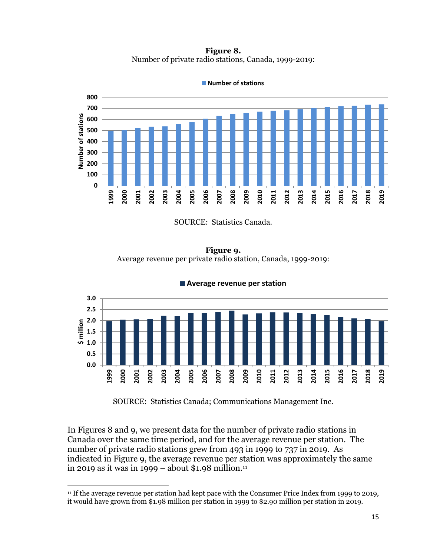**Figure 8.**  Number of private radio stations, Canada, 1999-2019:



**Number of stations**

SOURCE: Statistics Canada.

**Figure 9.**  Average revenue per private radio station, Canada, 1999-2019:



**Average revenue per station**

SOURCE: Statistics Canada; Communications Management Inc.

In Figures 8 and 9, we present data for the number of private radio stations in Canada over the same time period, and for the average revenue per station. The number of private radio stations grew from 493 in 1999 to 737 in 2019. As indicated in Figure 9, the average revenue per station was approximately the same in 2019 as it was in 1999 – about \$1.98 million.<sup>11</sup>

<sup>11</sup> If the average revenue per station had kept pace with the Consumer Price Index from 1999 to 2019, it would have grown from \$1.98 million per station in 1999 to \$2.90 million per station in 2019.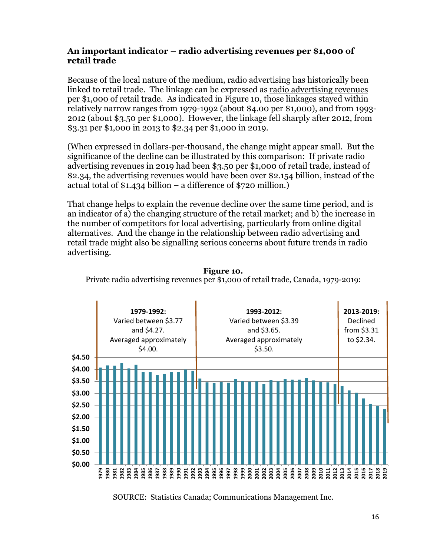### **An important indicator – radio advertising revenues per \$1,000 of retail trade**

Because of the local nature of the medium, radio advertising has historically been linked to retail trade. The linkage can be expressed as radio advertising revenues per \$1,000 of retail trade. As indicated in Figure 10, those linkages stayed within relatively narrow ranges from 1979-1992 (about \$4.00 per \$1,000), and from 1993- 2012 (about \$3.50 per \$1,000). However, the linkage fell sharply after 2012, from \$3.31 per \$1,000 in 2013 to \$2.34 per \$1,000 in 2019.

(When expressed in dollars-per-thousand, the change might appear small. But the significance of the decline can be illustrated by this comparison: If private radio advertising revenues in 2019 had been \$3.50 per \$1,000 of retail trade, instead of \$2.34, the advertising revenues would have been over \$2.154 billion, instead of the actual total of \$1.434 billion – a difference of \$720 million.)

That change helps to explain the revenue decline over the same time period, and is an indicator of a) the changing structure of the retail market; and b) the increase in the number of competitors for local advertising, particularly from online digital alternatives. And the change in the relationship between radio advertising and retail trade might also be signalling serious concerns about future trends in radio advertising.



**Figure 10.**  Private radio advertising revenues per \$1,000 of retail trade, Canada, 1979-2019:

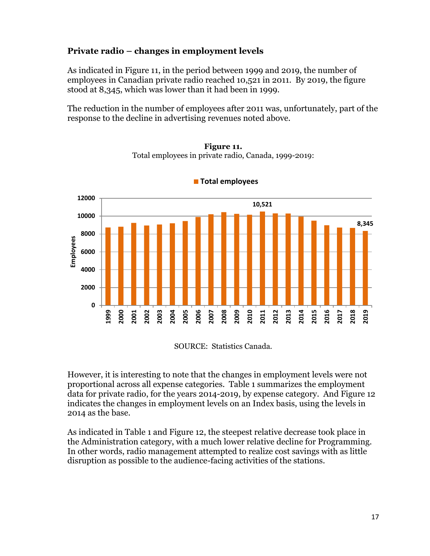### **Private radio – changes in employment levels**

As indicated in Figure 11, in the period between 1999 and 2019, the number of employees in Canadian private radio reached 10,521 in 2011. By 2019, the figure stood at 8,345, which was lower than it had been in 1999.

The reduction in the number of employees after 2011 was, unfortunately, part of the response to the decline in advertising revenues noted above.



**Figure 11.**  Total employees in private radio, Canada, 1999-2019:

**Total employees**

SOURCE: Statistics Canada.

However, it is interesting to note that the changes in employment levels were not proportional across all expense categories. Table 1 summarizes the employment data for private radio, for the years 2014-2019, by expense category. And Figure 12 indicates the changes in employment levels on an Index basis, using the levels in 2014 as the base.

As indicated in Table 1 and Figure 12, the steepest relative decrease took place in the Administration category, with a much lower relative decline for Programming. In other words, radio management attempted to realize cost savings with as little disruption as possible to the audience-facing activities of the stations.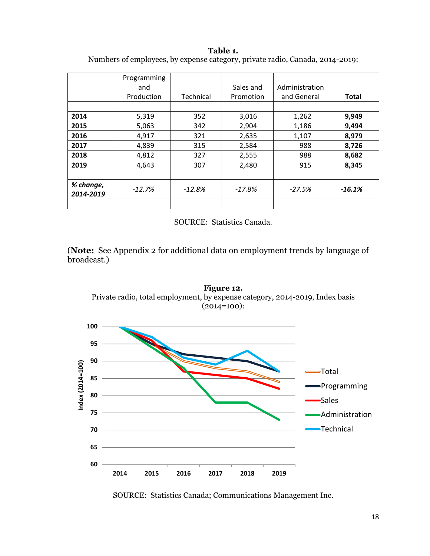|                        | Programming |           | Sales and | Administration |              |
|------------------------|-------------|-----------|-----------|----------------|--------------|
|                        | and         |           |           |                |              |
|                        | Production  | Technical | Promotion | and General    | <b>Total</b> |
|                        |             |           |           |                |              |
| 2014                   | 5,319       | 352       | 3,016     | 1,262          | 9,949        |
| 2015                   | 5,063       | 342       | 2,904     | 1,186          | 9,494        |
| 2016                   | 4,917       | 321       | 2,635     | 1,107          | 8,979        |
| 2017                   | 4,839       | 315       | 2,584     | 988            | 8,726        |
| 2018                   | 4,812       | 327       | 2,555     | 988            | 8,682        |
| 2019                   | 4,643       | 307       | 2,480     | 915            | 8,345        |
|                        |             |           |           |                |              |
| % change,<br>2014-2019 | $-12.7%$    | $-12.8%$  | $-17.8%$  | $-27.5%$       | $-16.1%$     |
|                        |             |           |           |                |              |

**Table 1.**  Numbers of employees, by expense category, private radio, Canada, 2014-2019:

SOURCE: Statistics Canada.

(**Note:** See Appendix 2 for additional data on employment trends by language of broadcast.)



SOURCE: Statistics Canada; Communications Management Inc.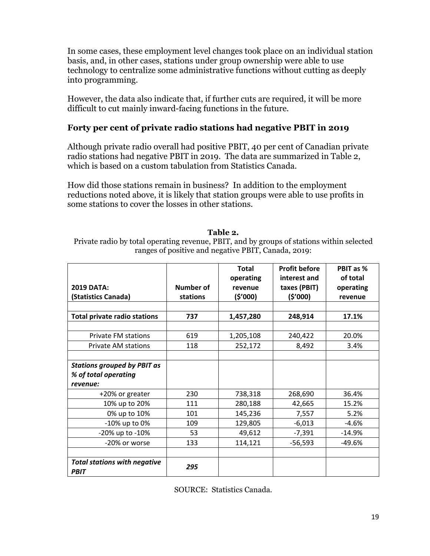In some cases, these employment level changes took place on an individual station basis, and, in other cases, stations under group ownership were able to use technology to centralize some administrative functions without cutting as deeply into programming.

However, the data also indicate that, if further cuts are required, it will be more difficult to cut mainly inward-facing functions in the future.

### **Forty per cent of private radio stations had negative PBIT in 2019**

Although private radio overall had positive PBIT, 40 per cent of Canadian private radio stations had negative PBIT in 2019. The data are summarized in Table 2, which is based on a custom tabulation from Statistics Canada.

How did those stations remain in business? In addition to the employment reductions noted above, it is likely that station groups were able to use profits in some stations to cover the losses in other stations.

#### **Table 2.**

Private radio by total operating revenue, PBIT, and by groups of stations within selected ranges of positive and negative PBIT, Canada, 2019:

|                                                    |           | <b>Total</b>         | <b>Profit before</b><br>interest and | PBIT as %<br>of total |
|----------------------------------------------------|-----------|----------------------|--------------------------------------|-----------------------|
| <b>2019 DATA:</b>                                  | Number of | operating<br>revenue | taxes (PBIT)                         | operating             |
| (Statistics Canada)                                | stations  | (5'000)              | (5'000)                              | revenue               |
|                                                    |           |                      |                                      |                       |
| <b>Total private radio stations</b>                | 737       | 1,457,280            | 248,914                              | 17.1%                 |
|                                                    |           |                      |                                      |                       |
| <b>Private FM stations</b>                         | 619       | 1,205,108            | 240,422                              | 20.0%                 |
| <b>Private AM stations</b>                         | 118       | 252,172              | 8,492                                | 3.4%                  |
|                                                    |           |                      |                                      |                       |
| <b>Stations grouped by PBIT as</b>                 |           |                      |                                      |                       |
| % of total operating                               |           |                      |                                      |                       |
| revenue:                                           |           |                      |                                      |                       |
| +20% or greater                                    | 230       | 738,318              | 268,690                              | 36.4%                 |
| 10% up to 20%                                      | 111       | 280,188              | 42,665                               | 15.2%                 |
| 0% up to 10%                                       | 101       | 145,236              | 7,557                                | 5.2%                  |
| -10% up to 0%                                      | 109       | 129,805              | $-6,013$                             | $-4.6%$               |
| -20% up to -10%                                    | 53        | 49,612               | $-7,391$                             | $-14.9%$              |
| -20% or worse                                      | 133       | 114,121              | $-56,593$                            | $-49.6%$              |
|                                                    |           |                      |                                      |                       |
| <b>Total stations with negative</b><br><b>PBIT</b> | 295       |                      |                                      |                       |

SOURCE: Statistics Canada.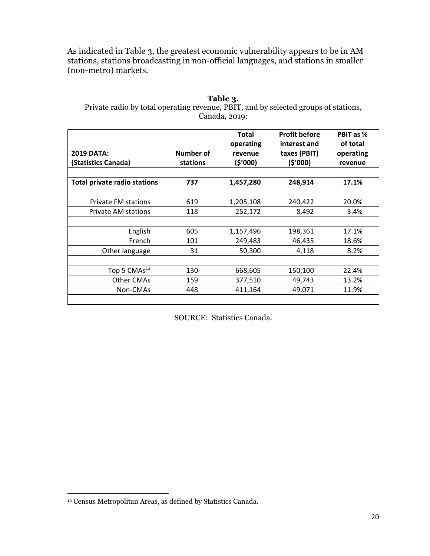As indicated in Table 3, the greatest economic vulnerability appears to be in AM stations, stations broadcasting in non-official languages, and stations in smaller (non-metro) markets.

#### **Table 3.**  Private radio by total operating revenue, PBIT, and by selected groups of stations, Canada, 2019:

| <b>2019 DATA:</b><br>(Statistics Canada) | Number of<br>stations | <b>Total</b><br>operating<br>revenue<br>(\$'000) | <b>Profit before</b><br>interest and<br>taxes (PBIT)<br>(\$'000) | PBIT as %<br>of total<br>operating<br>revenue |
|------------------------------------------|-----------------------|--------------------------------------------------|------------------------------------------------------------------|-----------------------------------------------|
| <b>Total private radio stations</b>      | 737                   | 1,457,280                                        | 248,914                                                          | 17.1%                                         |
|                                          |                       |                                                  |                                                                  |                                               |
| <b>Private FM stations</b>               | 619                   | 1,205,108                                        | 240,422                                                          | 20.0%                                         |
| <b>Private AM stations</b>               | 118                   | 252,172                                          | 8,492                                                            | 3.4%                                          |
|                                          |                       |                                                  |                                                                  |                                               |
| English                                  | 605                   | 1,157,496                                        | 198,361                                                          | 17.1%                                         |
| French                                   | 101                   | 249,483                                          | 46,435                                                           | 18.6%                                         |
| Other language                           | 31                    | 50,300                                           | 4,118                                                            | 8.2%                                          |
|                                          |                       |                                                  |                                                                  |                                               |
| Top 5 $CMAs12$                           | 130                   | 668,605                                          | 150,100                                                          | 22.4%                                         |
| Other CMAs                               | 159                   | 377,510                                          | 49,743                                                           | 13.2%                                         |
| Non-CMAs                                 | 448                   | 411,164                                          | 49,071                                                           | 11.9%                                         |
|                                          |                       |                                                  |                                                                  |                                               |

SOURCE: Statistics Canada.

<sup>12</sup> Census Metropolitan Areas, as defined by Statistics Canada.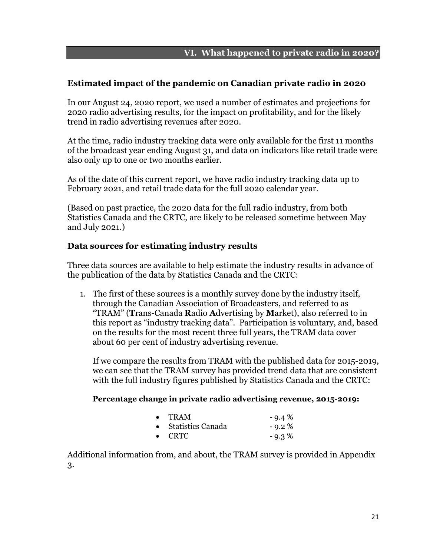### **Estimated impact of the pandemic on Canadian private radio in 2020**

In our August 24, 2020 report, we used a number of estimates and projections for 2020 radio advertising results, for the impact on profitability, and for the likely trend in radio advertising revenues after 2020.

At the time, radio industry tracking data were only available for the first 11 months of the broadcast year ending August 31, and data on indicators like retail trade were also only up to one or two months earlier.

As of the date of this current report, we have radio industry tracking data up to February 2021, and retail trade data for the full 2020 calendar year.

(Based on past practice, the 2020 data for the full radio industry, from both Statistics Canada and the CRTC, are likely to be released sometime between May and July 2021.)

### **Data sources for estimating industry results**

Three data sources are available to help estimate the industry results in advance of the publication of the data by Statistics Canada and the CRTC:

1. The first of these sources is a monthly survey done by the industry itself, through the Canadian Association of Broadcasters, and referred to as "TRAM" (**T**rans-Canada **R**adio **A**dvertising by **M**arket), also referred to in this report as "industry tracking data". Participation is voluntary, and, based on the results for the most recent three full years, the TRAM data cover about 60 per cent of industry advertising revenue.

If we compare the results from TRAM with the published data for 2015-2019, we can see that the TRAM survey has provided trend data that are consistent with the full industry figures published by Statistics Canada and the CRTC:

#### **Percentage change in private radio advertising revenue, 2015-2019:**

| $\bullet$ | <b>TRAM</b>         | $-9.4\%$ |
|-----------|---------------------|----------|
|           | • Statistics Canada | $-9.2\%$ |
|           | $\bullet$ CRTC      | $-9.3%$  |

Additional information from, and about, the TRAM survey is provided in Appendix 3.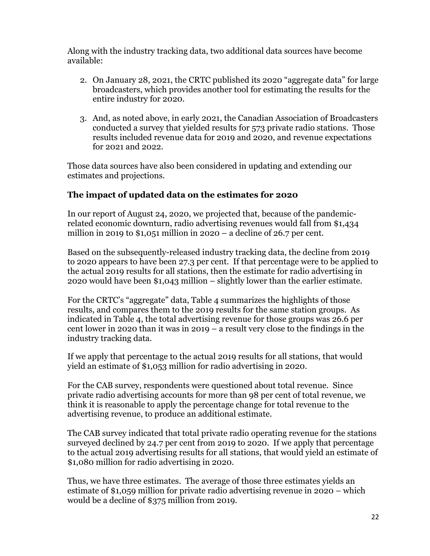Along with the industry tracking data, two additional data sources have become available:

- 2. On January 28, 2021, the CRTC published its 2020 "aggregate data" for large broadcasters, which provides another tool for estimating the results for the entire industry for 2020.
- 3. And, as noted above, in early 2021, the Canadian Association of Broadcasters conducted a survey that yielded results for 573 private radio stations. Those results included revenue data for 2019 and 2020, and revenue expectations for 2021 and 2022.

Those data sources have also been considered in updating and extending our estimates and projections.

### **The impact of updated data on the estimates for 2020**

In our report of August 24, 2020, we projected that, because of the pandemicrelated economic downturn, radio advertising revenues would fall from \$1,434 million in 2019 to  $$1,051$  million in 2020 – a decline of 26.7 per cent.

Based on the subsequently-released industry tracking data, the decline from 2019 to 2020 appears to have been 27.3 per cent. If that percentage were to be applied to the actual 2019 results for all stations, then the estimate for radio advertising in 2020 would have been \$1,043 million – slightly lower than the earlier estimate.

For the CRTC's "aggregate" data, Table 4 summarizes the highlights of those results, and compares them to the 2019 results for the same station groups. As indicated in Table 4, the total advertising revenue for those groups was 26.6 per cent lower in 2020 than it was in 2019 – a result very close to the findings in the industry tracking data.

If we apply that percentage to the actual 2019 results for all stations, that would yield an estimate of \$1,053 million for radio advertising in 2020.

For the CAB survey, respondents were questioned about total revenue. Since private radio advertising accounts for more than 98 per cent of total revenue, we think it is reasonable to apply the percentage change for total revenue to the advertising revenue, to produce an additional estimate.

The CAB survey indicated that total private radio operating revenue for the stations surveyed declined by 24.7 per cent from 2019 to 2020. If we apply that percentage to the actual 2019 advertising results for all stations, that would yield an estimate of \$1,080 million for radio advertising in 2020.

Thus, we have three estimates. The average of those three estimates yields an estimate of \$1,059 million for private radio advertising revenue in 2020 – which would be a decline of \$375 million from 2019.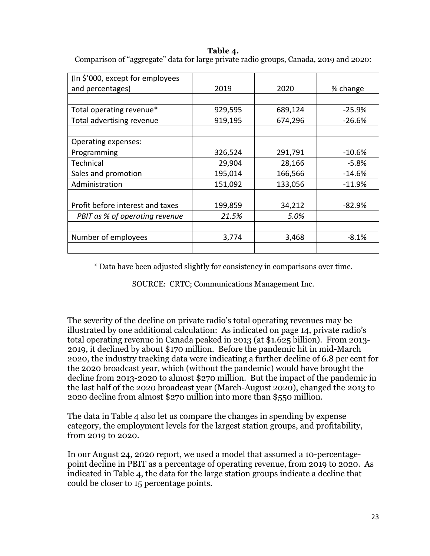| (In \$'000, except for employees |         |         |          |
|----------------------------------|---------|---------|----------|
| and percentages)                 | 2019    | 2020    | % change |
|                                  |         |         |          |
| Total operating revenue*         | 929,595 | 689,124 | $-25.9%$ |
| Total advertising revenue        | 919,195 | 674,296 | $-26.6%$ |
|                                  |         |         |          |
| Operating expenses:              |         |         |          |
| Programming                      | 326,524 | 291,791 | -10.6%   |
| Technical                        | 29,904  | 28,166  | $-5.8%$  |
| Sales and promotion              | 195,014 | 166,566 | -14.6%   |
| Administration                   | 151,092 | 133,056 | $-11.9%$ |
|                                  |         |         |          |
| Profit before interest and taxes | 199,859 | 34,212  | $-82.9%$ |
| PBIT as % of operating revenue   | 21.5%   | 5.0%    |          |
|                                  |         |         |          |
| Number of employees              | 3,774   | 3,468   | $-8.1%$  |
|                                  |         |         |          |

**Table 4.**  Comparison of "aggregate" data for large private radio groups, Canada, 2019 and 2020:

\* Data have been adjusted slightly for consistency in comparisons over time.

SOURCE: CRTC; Communications Management Inc.

The severity of the decline on private radio's total operating revenues may be illustrated by one additional calculation: As indicated on page 14, private radio's total operating revenue in Canada peaked in 2013 (at \$1.625 billion). From 2013- 2019, it declined by about \$170 million. Before the pandemic hit in mid-March 2020, the industry tracking data were indicating a further decline of 6.8 per cent for the 2020 broadcast year, which (without the pandemic) would have brought the decline from 2013-2020 to almost \$270 million. But the impact of the pandemic in the last half of the 2020 broadcast year (March-August 2020), changed the 2013 to 2020 decline from almost \$270 million into more than \$550 million.

The data in Table 4 also let us compare the changes in spending by expense category, the employment levels for the largest station groups, and profitability, from 2019 to 2020.

In our August 24, 2020 report, we used a model that assumed a 10-percentagepoint decline in PBIT as a percentage of operating revenue, from 2019 to 2020. As indicated in Table 4, the data for the large station groups indicate a decline that could be closer to 15 percentage points.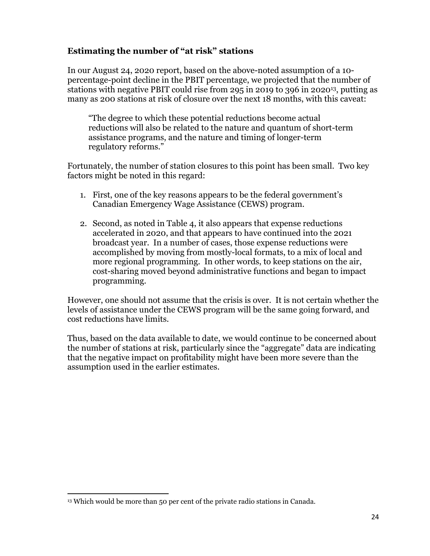### **Estimating the number of "at risk" stations**

In our August 24, 2020 report, based on the above-noted assumption of a 10 percentage-point decline in the PBIT percentage, we projected that the number of stations with negative PBIT could rise from 295 in 2019 to 396 in 202013, putting as many as 200 stations at risk of closure over the next 18 months, with this caveat:

"The degree to which these potential reductions become actual reductions will also be related to the nature and quantum of short-term assistance programs, and the nature and timing of longer-term regulatory reforms."

Fortunately, the number of station closures to this point has been small. Two key factors might be noted in this regard:

- 1. First, one of the key reasons appears to be the federal government's Canadian Emergency Wage Assistance (CEWS) program.
- 2. Second, as noted in Table 4, it also appears that expense reductions accelerated in 2020, and that appears to have continued into the 2021 broadcast year. In a number of cases, those expense reductions were accomplished by moving from mostly-local formats, to a mix of local and more regional programming. In other words, to keep stations on the air, cost-sharing moved beyond administrative functions and began to impact programming.

However, one should not assume that the crisis is over. It is not certain whether the levels of assistance under the CEWS program will be the same going forward, and cost reductions have limits.

Thus, based on the data available to date, we would continue to be concerned about the number of stations at risk, particularly since the "aggregate" data are indicating that the negative impact on profitability might have been more severe than the assumption used in the earlier estimates.

<sup>&</sup>lt;sup>13</sup> Which would be more than 50 per cent of the private radio stations in Canada.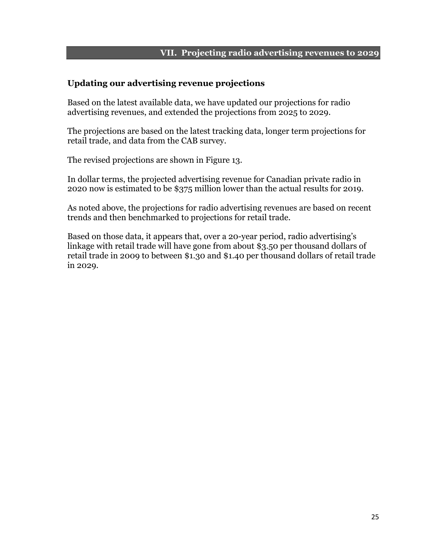### **VII. Projecting radio advertising revenues to 2029**

#### **Updating our advertising revenue projections**

Based on the latest available data, we have updated our projections for radio advertising revenues, and extended the projections from 2025 to 2029.

The projections are based on the latest tracking data, longer term projections for retail trade, and data from the CAB survey.

The revised projections are shown in Figure 13.

In dollar terms, the projected advertising revenue for Canadian private radio in 2020 now is estimated to be \$375 million lower than the actual results for 2019.

As noted above, the projections for radio advertising revenues are based on recent trends and then benchmarked to projections for retail trade.

Based on those data, it appears that, over a 20-year period, radio advertising's linkage with retail trade will have gone from about \$3.50 per thousand dollars of retail trade in 2009 to between \$1.30 and \$1.40 per thousand dollars of retail trade in 2029.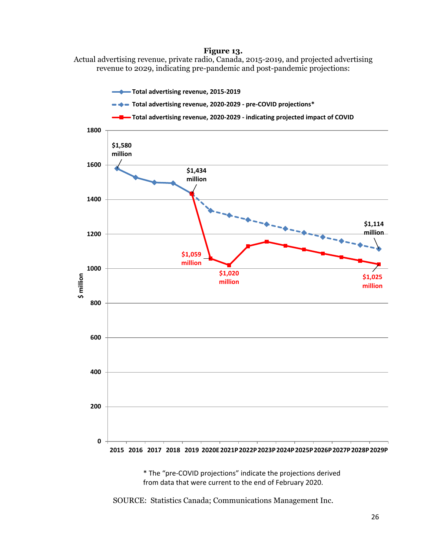#### **Figure 13.**

Actual advertising revenue, private radio, Canada, 2015-2019, and projected advertising revenue to 2029, indicating pre-pandemic and post-pandemic projections:



\* The "pre‐COVID projections" indicate the projections derived from data that were current to the end of February 2020.

SOURCE: Statistics Canada; Communications Management Inc.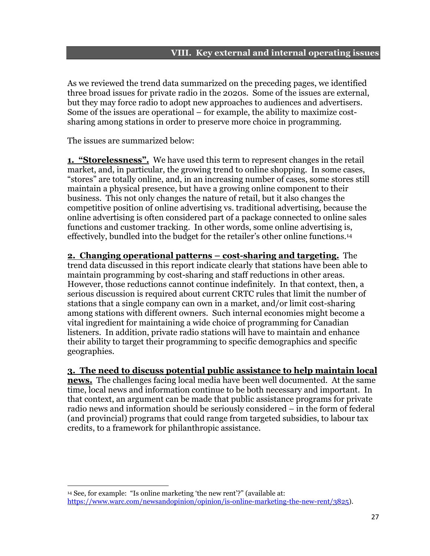#### **VIII. Key external and internal operating issues**

As we reviewed the trend data summarized on the preceding pages, we identified three broad issues for private radio in the 2020s. Some of the issues are external, but they may force radio to adopt new approaches to audiences and advertisers. Some of the issues are operational – for example, the ability to maximize costsharing among stations in order to preserve more choice in programming.

The issues are summarized below:

**1. "Storelessness".** We have used this term to represent changes in the retail market, and, in particular, the growing trend to online shopping. In some cases, "stores" are totally online, and, in an increasing number of cases, some stores still maintain a physical presence, but have a growing online component to their business. This not only changes the nature of retail, but it also changes the competitive position of online advertising vs. traditional advertising, because the online advertising is often considered part of a package connected to online sales functions and customer tracking. In other words, some online advertising is, effectively, bundled into the budget for the retailer's other online functions.14

**2. Changing operational patterns – cost-sharing and targeting.** The trend data discussed in this report indicate clearly that stations have been able to maintain programming by cost-sharing and staff reductions in other areas. However, those reductions cannot continue indefinitely. In that context, then, a serious discussion is required about current CRTC rules that limit the number of stations that a single company can own in a market, and/or limit cost-sharing among stations with different owners. Such internal economies might become a vital ingredient for maintaining a wide choice of programming for Canadian listeners. In addition, private radio stations will have to maintain and enhance their ability to target their programming to specific demographics and specific geographies.

**3. The need to discuss potential public assistance to help maintain local** 

**news.** The challenges facing local media have been well documented. At the same time, local news and information continue to be both necessary and important. In that context, an argument can be made that public assistance programs for private radio news and information should be seriously considered – in the form of federal (and provincial) programs that could range from targeted subsidies, to labour tax credits, to a framework for philanthropic assistance.

<sup>14</sup> See, for example: "Is online marketing 'the new rent'?" (available at: https://www.warc.com/newsandopinion/opinion/is-online-marketing-the-new-rent/3825).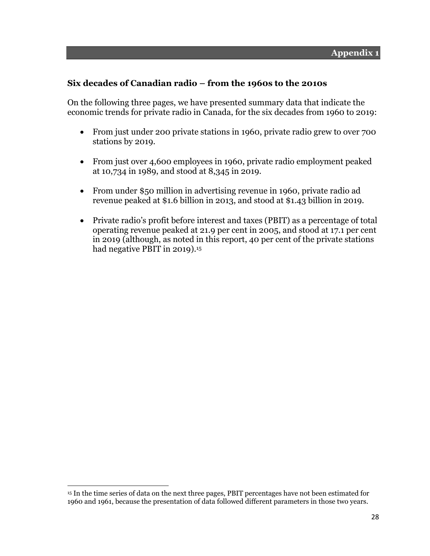### **Six decades of Canadian radio – from the 1960s to the 2010s**

On the following three pages, we have presented summary data that indicate the economic trends for private radio in Canada, for the six decades from 1960 to 2019:

- From just under 200 private stations in 1960, private radio grew to over 700 stations by 2019.
- From just over 4,600 employees in 1960, private radio employment peaked at 10,734 in 1989, and stood at 8,345 in 2019.
- From under \$50 million in advertising revenue in 1960, private radio ad revenue peaked at \$1.6 billion in 2013, and stood at \$1.43 billion in 2019.
- Private radio's profit before interest and taxes (PBIT) as a percentage of total operating revenue peaked at 21.9 per cent in 2005, and stood at 17.1 per cent in 2019 (although, as noted in this report, 40 per cent of the private stations had negative PBIT in 2019).<sup>15</sup>

<sup>&</sup>lt;sup>15</sup> In the time series of data on the next three pages, PBIT percentages have not been estimated for 1960 and 1961, because the presentation of data followed different parameters in those two years.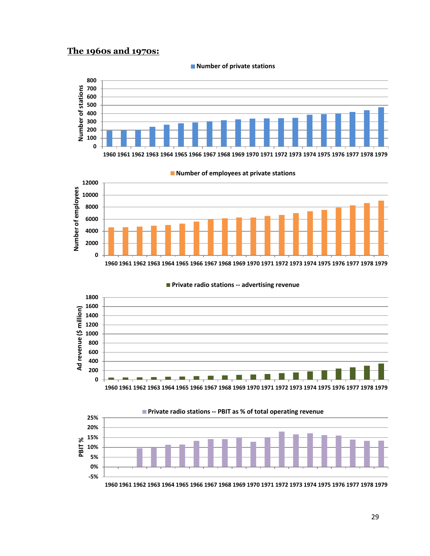### **The 1960s and 1970s:**



**Number of private stations**



**Number of employees at private stations**

**Private radio stations ‐‐ advertising revenue**



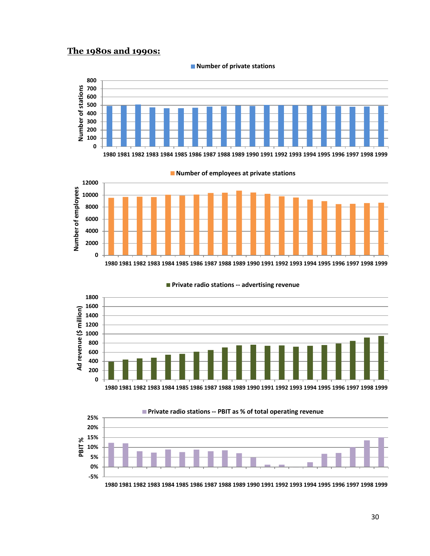### **The 1980s and 1990s:**

**‐5% 0% 5% 10%**

**PBIT**



**Number of private stations**



**Private radio stations ‐‐ advertising revenue**



**1980 1981 1982 1983 1984 1985 1986 1987 1988 1989 1990 1991 1992 1993 1994 1995 1996 1997 1998 1999**

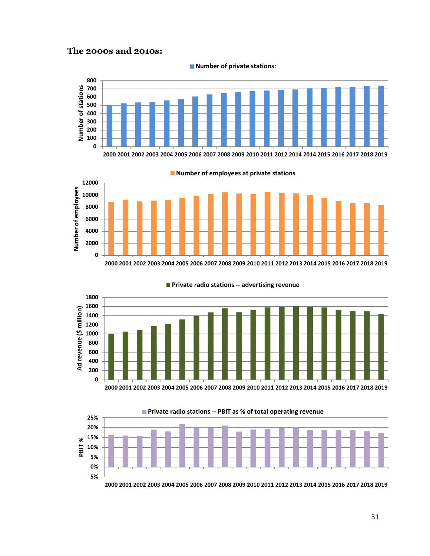### **The 2000s and 2010s:**



**Number of private stations:**





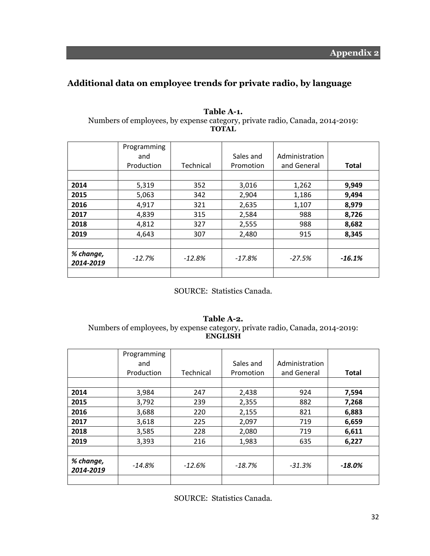### **Additional data on employee trends for private radio, by language**

|                        | Programming<br>and<br>Production | Technical | Sales and<br>Promotion | Administration<br>and General | <b>Total</b> |
|------------------------|----------------------------------|-----------|------------------------|-------------------------------|--------------|
| 2014                   | 5,319                            | 352       | 3,016                  | 1,262                         | 9,949        |
| 2015                   | 5,063                            | 342       | 2,904                  | 1,186                         | 9,494        |
| 2016                   | 4,917                            | 321       | 2,635                  | 1,107                         | 8,979        |
| 2017                   | 4,839                            | 315       | 2,584                  | 988                           | 8,726        |
| 2018                   | 4,812                            | 327       | 2,555                  | 988                           | 8,682        |
| 2019                   | 4,643                            | 307       | 2,480                  | 915                           | 8,345        |
|                        |                                  |           |                        |                               |              |
| % change,<br>2014-2019 | $-12.7%$                         | $-12.8%$  | $-17.8%$               | $-27.5%$                      | $-16.1%$     |
|                        |                                  |           |                        |                               |              |

#### **Table A-1.**  Numbers of employees, by expense category, private radio, Canada, 2014-2019: **TOTAL**

SOURCE: Statistics Canada.

#### **Table A-2.**  Numbers of employees, by expense category, private radio, Canada, 2014-2019: **ENGLISH**

|                        | Programming<br>and<br>Production | Technical | Sales and<br>Promotion | Administration<br>and General | <b>Total</b> |
|------------------------|----------------------------------|-----------|------------------------|-------------------------------|--------------|
| 2014                   | 3,984                            | 247       | 2,438                  | 924                           | 7,594        |
| 2015                   | 3,792                            | 239       | 2,355                  | 882                           | 7,268        |
| 2016                   | 3,688                            | 220       | 2,155                  | 821                           | 6,883        |
| 2017                   | 3,618                            | 225       | 2,097                  | 719                           | 6,659        |
| 2018                   | 3,585                            | 228       | 2,080                  | 719                           | 6,611        |
| 2019                   | 3,393                            | 216       | 1,983                  | 635                           | 6,227        |
|                        |                                  |           |                        |                               |              |
| % change,<br>2014-2019 | $-14.8\%$                        | $-12.6%$  | $-18.7\%$              | $-31.3%$                      | $-18.0\%$    |
|                        |                                  |           |                        |                               |              |

SOURCE: Statistics Canada.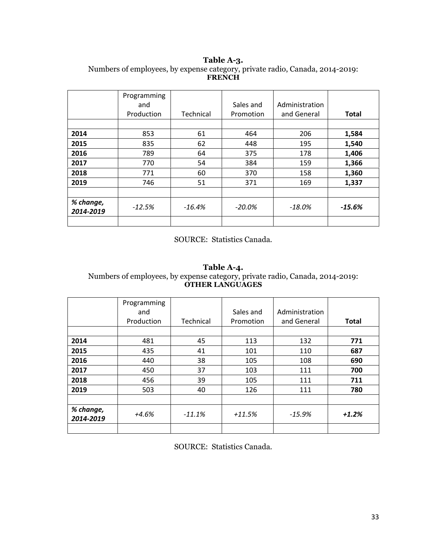#### **Table A-3.**  Numbers of employees, by expense category, private radio, Canada, 2014-2019: **FRENCH**

|                        | Programming<br>and<br>Production | Technical | Sales and<br>Promotion | Administration<br>and General | <b>Total</b> |
|------------------------|----------------------------------|-----------|------------------------|-------------------------------|--------------|
|                        |                                  |           |                        |                               |              |
| 2014                   | 853                              | 61        | 464                    | 206                           | 1,584        |
| 2015                   | 835                              | 62        | 448                    | 195                           | 1,540        |
| 2016                   | 789                              | 64        | 375                    | 178                           | 1,406        |
| 2017                   | 770                              | 54        | 384                    | 159                           | 1,366        |
| 2018                   | 771                              | 60        | 370                    | 158                           | 1,360        |
| 2019                   | 746                              | 51        | 371                    | 169                           | 1,337        |
|                        |                                  |           |                        |                               |              |
| % change,<br>2014-2019 | $-12.5%$                         | $-16.4%$  | $-20.0\%$              | -18.0%                        | $-15.6%$     |
|                        |                                  |           |                        |                               |              |

#### SOURCE: Statistics Canada.

#### **Table A-4.**

#### Numbers of employees, by expense category, private radio, Canada, 2014-2019: **OTHER LANGUAGES**

|                        | Programming<br>and<br>Production | Technical | Sales and<br>Promotion | Administration<br>and General | <b>Total</b> |
|------------------------|----------------------------------|-----------|------------------------|-------------------------------|--------------|
| 2014                   | 481                              | 45        | 113                    | 132                           | 771          |
| 2015                   | 435                              | 41        | 101                    | 110                           | 687          |
| 2016                   | 440                              | 38        | 105                    | 108                           | 690          |
| 2017                   | 450                              | 37        | 103                    | 111                           | 700          |
| 2018                   | 456                              | 39        | 105                    | 111                           | 711          |
| 2019                   | 503                              | 40        | 126                    | 111                           | 780          |
|                        |                                  |           |                        |                               |              |
| % change,<br>2014-2019 | +4.6%                            | $-11.1\%$ | $+11.5%$               | $-15.9\%$                     | $+1.2%$      |
|                        |                                  |           |                        |                               |              |

SOURCE: Statistics Canada.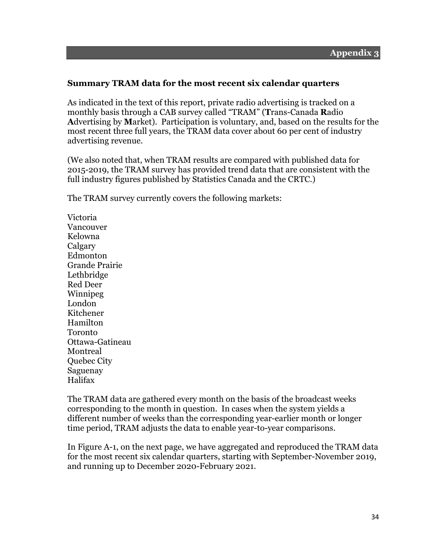### **Summary TRAM data for the most recent six calendar quarters**

As indicated in the text of this report, private radio advertising is tracked on a monthly basis through a CAB survey called "TRAM" (**T**rans-Canada **R**adio **A**dvertising by **M**arket). Participation is voluntary, and, based on the results for the most recent three full years, the TRAM data cover about 60 per cent of industry advertising revenue.

(We also noted that, when TRAM results are compared with published data for 2015-2019, the TRAM survey has provided trend data that are consistent with the full industry figures published by Statistics Canada and the CRTC.)

The TRAM survey currently covers the following markets:

Victoria Vancouver Kelowna Calgary Edmonton Grande Prairie Lethbridge Red Deer Winnipeg London Kitchener Hamilton Toronto Ottawa-Gatineau Montreal Quebec City Saguenay Halifax

The TRAM data are gathered every month on the basis of the broadcast weeks corresponding to the month in question. In cases when the system yields a different number of weeks than the corresponding year-earlier month or longer time period, TRAM adjusts the data to enable year-to-year comparisons.

In Figure A-1, on the next page, we have aggregated and reproduced the TRAM data for the most recent six calendar quarters, starting with September-November 2019, and running up to December 2020-February 2021.